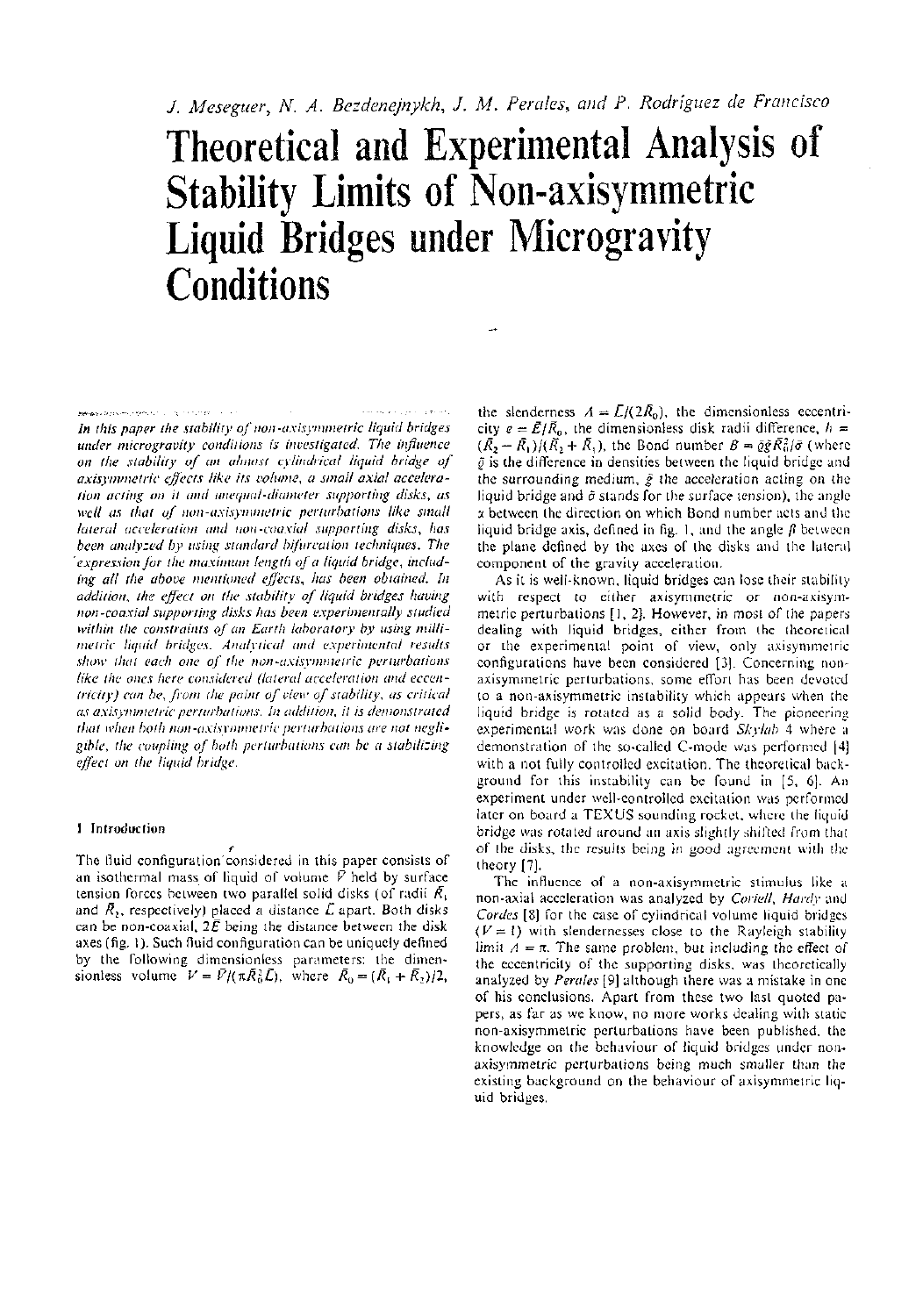# Theoretical and Experimental Analysis of Stability Limits of Non-axisymmetric Liquid Bridges under Microgravity **Conditions**

**Edmond Association Security (1999)** (1999) (1999) (1999) (1999) (1999) *In this paper the stability of non-axisymmetric liquid bridges under microgravity conditions is investigated. The influence on the stability of an almost cylindrical liquid bridge of axisymmelric effects like its volume, a small axial acceleration acting on it and unequal-diameter supporting disks, as well as that of non-axisymmetric perturbations like small lateral acceleration and non-coaxial supporting disks, has been analysed by using standard bifurcation techniques. The 'expression for the maximum length of a liquid bridge, including all the above mentioned effects, has been obtained. In addition, the effect on the stability of liquid bridges having non-coaxial supporting disks has been experimentally studied within the constraints of an Earth laboratory by using millimelric liquid bridges. Analytical and experimental results show that each one of the non-axisymmetric perturbations like the ones here considered (lateral acceleration and eccentricity) can be, from the point of view of stability, as critical as axisynunetric perturbations. In addition, it is demonstrated that when both non-axisymmetric perturbations are not negligible, the coupling of both perturbations can be a stabilizing effect on the liquid bridge.* 

## 1 Introduction

r The fluid configuration considered in this paper consists of an isothermal mass of liquid of volume *V* held by surface tension forces between two parallel solid disks (of radii *R<sup>t</sup>* and  $\bar{R}_2$ , respectively) placed a distance  $\bar{L}$  apart. Both disks can be non-coaxial,  $2\bar{E}$  being the distance between the disk axes (fig. 1). Such fluid configuration can be uniquely defined by the following dimensionless parameters: the dimensionless volume  $V = \bar{V}/(\pi \bar{R}_0^2 \bar{L})$ , where  $\bar{R}_0 = (\bar{R}_1 + \bar{R}_2)/2$ ,

the slenderness  $A = \bar{L}/(2\bar{R}_0)$ , the dimensionless eccentricity  $e = \bar{E}/\bar{R}_0$ , the dimensionless disk radii difference,  $h =$  $(\bar{R}_2 - \bar{R}_1)/(\bar{R}_2 + \bar{R}_1)$ , the Bond number  $B = \bar{q}\bar{g}\bar{R}_0^2/\bar{\sigma}$  (where *Q* is the difference in densities between the liquid bridge and the surrounding medium, *g* the acceleration acting on the liquid bridge and  $\tilde{\sigma}$  stands for the surface tension), the angle a between the direction on which Bond number acts and the liquid bridge axis, defined in fig. 1, and the angle  $\beta$  between the plane defined by the axes of the disks and the lateral component of the gravity acceleration.

As it is well-known, liquid bridges can lose their stability with respect to either axisymmetric or non-axisymmetric perturbations [1, 2]. However, in most of the papers dealing with liquid bridges, either from the theoretical or the experimental point of view, only axisymmetric configurations have been considered [3]. Concerning nonaxisymmetric perturbations, some effort has been devoted to a non-axisymmetric instability which appears when the liquid bridge is rotated as a solid body. The pioneering experimental work was done on board *Skylab* 4 where a demonstration of the so-called C-mode was performed [4] with a not fully controlled excitation. The theoretical background for this instability can be found in [5, 6], An experiment under well-controlled excitation was performed later on board a TEXUS sounding rocket, where the liquid bridge was rotated around an axis slightly shifted from that of the disks, the results being in good agreement with the theory [7].

The influence of a non-axisymmetric stimulus like a non-axial acceleration was analyzed by *Coriell, Hardy* and *Cordes* [8] for the case of cylindrical volume liquid bridges  $(V = 1)$  with slendernesses close to the Rayleigh stability limit  $A = \pi$ . The same problem, but including the effect of the eccentricity of the supporting disks, was theoretically analyzed by *Perales* [9] although there was a mistake in one of his conclusions. Apart from these two last quoted papers, as far as we know, no more works dealing with static non-axisymmetric perturbations have been published, the knowledge on the behaviour of liquid bridges under nonaxisymmetric perturbations being much smaller than the existing background on the behaviour of axisymmetric liquid bridges.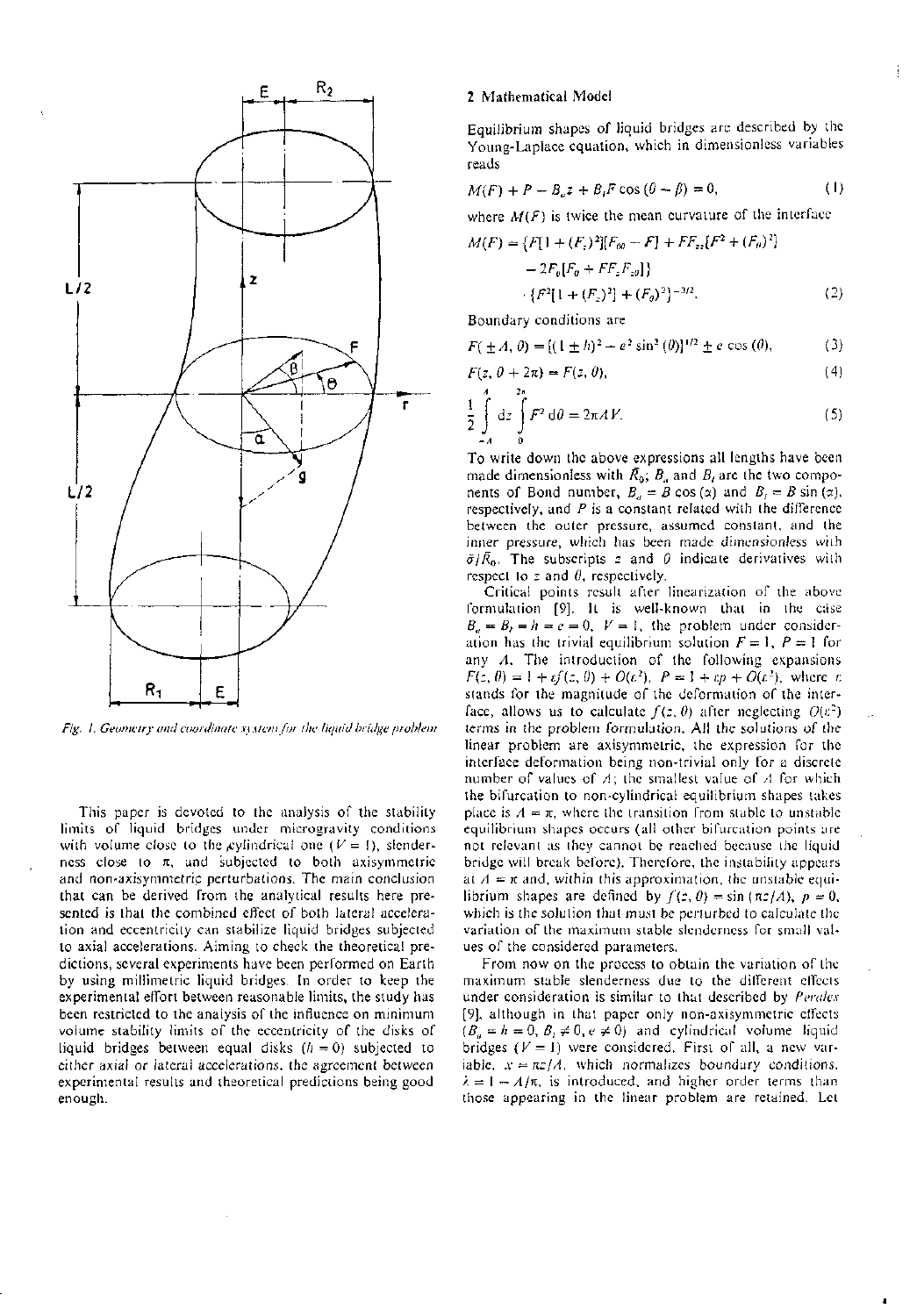

*Fig. 1. Geometry and coordinate system for the liquid bridge problem* 

This paper is devoted to the analysis of the stability limits of liquid bridges under microgravity conditions with volume close to the cylindrical one  $(V = 1)$ , slenderness close to *K,* and subjected to both axisymmetric and non-axisymmetric perturbations. The main conclusion that can be derived from the analytical results here presented is that the combined effect of both lateral acceleration and eccentricity can stabilize liquid bridges subjected to axial accelerations. Aiming to check the theoretical predictions, several experiments have been performed on Earth by using millimetric liquid bridges. In order to keep the experimental effort between reasonable limits, the study has been restricted to the analysis of the influence on minimum volume stability limits of the eccentricity of the disks of liquid bridges between equal disks *(h —* 0) subjected to either axial or lateral accelerations, the agreement between experimental results and theoretical predictions being good enough.

#### 2 Mathematical Model

Equilibrium shapes of liquid bridges are described by the Young-Laplace equation, which in dimensionless variables reads

Ť

$$
M(F) + P - Bu z + BiF \cos(\theta - \beta) = 0,
$$
 (1)

where  $M(F)$  is twice the mean curvature of the interface

$$
M(F) = \{F[1 + (F_z)^2][F_{00} - F] + FF_{zz}[F^2 + (F_\theta)^2] - 2F_\theta[F_\theta + FF_zF_{z\theta}]\}
$$
  
 
$$
\cdot \{F^2[1 + (F_z)^2] + (F_\theta)^2\}^{-3/2}.
$$
 (2)

Boundary conditions are

$$
F(\pm A, \theta) = [(\pm h)^2 + e^2 \sin^2(\theta)]^{1/2} \pm e \cos(\theta), \tag{3}
$$

$$
F(z, \theta + 2\pi) = F(z, \theta), \tag{4}
$$

$$
\frac{1}{2} \int dz \int F^2 d\theta = 2\pi A V.
$$
 (5)

To write down the above expressions all lengths have been made dimensionless with  $\bar{R}_0$ ;  $B_a$  and  $B_i$  are the two components of Bond number,  $B_a = B \cos(\alpha)$  and  $B_t = B \sin(\alpha)$ , respectively, and *P* is a constant related with the difference between the outer pressure, assumed constant, and the inner pressure, which has been made dimensionless with  $\tilde{\sigma}/\tilde{R}_0$ . The subscripts z and  $\theta$  indicate derivatives with respect to *z* and *0,* respectively.

Critical points result after linearization of the above formulation [9], It is well-known that in the case  $B_a = B_t = h = e = 0$ ,  $V = 1$ , the problem under consideration has the trivial equilibrium solution  $F = 1$ ,  $P = 1$  for any *A.* The introduction of the following expansions  $F(z, \theta) = 1 + cf(z, \theta) + O(\epsilon^2), P = 1 + cp + O(\epsilon^2), \text{ where } \epsilon.$ stands for the magnitude of the deformation of the interface, allows us to calculate  $f(z, \theta)$  after neglecting  $O(t^2)$ terms in the problem formulation. All the solutions of the linear problem are axisymmetric, the expression for the interface deformation being non-trivial only for a discrete number of values of *A;* the smallest value of *A* for which the bifurcation to non-cylindrical equilibrium shapes takes place is  $\Lambda = \pi$ , where the transition from stable to unstable equilibrium shapes occurs (all other bifurcation points are not relevant as they cannot be reached because the liquid bridge will break before). Therefore, the instability appears at  $A = \pi$  and, within this approximation, the unstable equilibrium shapes are defined by  $f(z, \theta) = \sin(\pi z/\lambda)$ ,  $p = 0$ , which is the solution that must be perturbed to calculate the variation of the maximum stable slenderness for small values of the considered parameters.

From now on the process to obtain the variation of the maximum stable slenderness due to the different effects under consideration is similar to that described by *Pcralex*  [9], although in that paper only non-axisymmetric effects  $(B_n = h = 0, B_t \neq 0, e \neq 0)$  and cylindrical volume liquid bridges *(V =* 1) were considered. First of all, a new variable,  $x = \pi z / A$ , which normalizes boundary conditions,  $\lambda = 1 - A/\pi$ , is introduced, and higher order terms than those appearing in the linear problem are retained. Let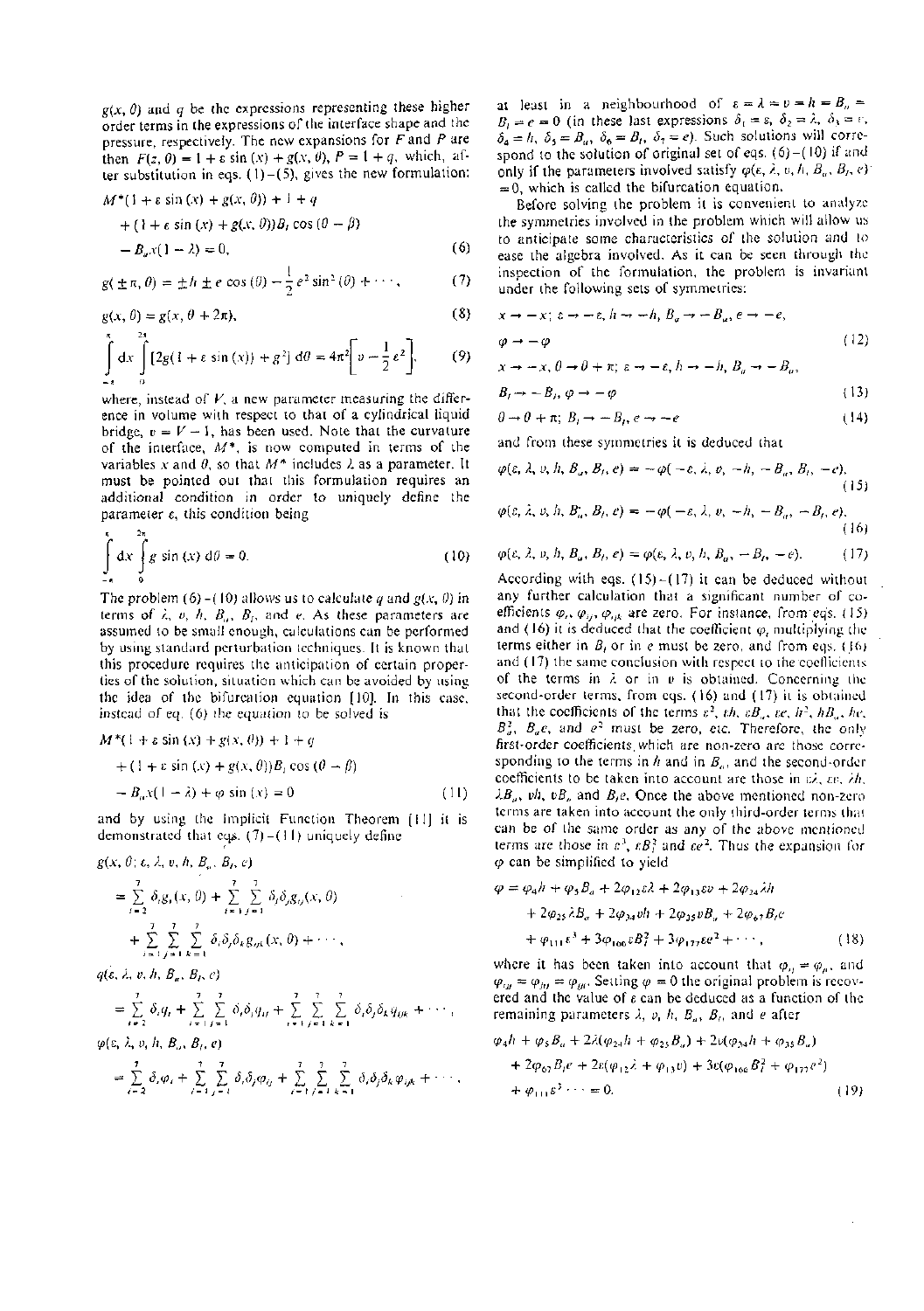*g{x, 0)* and *q* be the expressions representing these higher order terms in the expressions of the interface shape and the pressure, respectively. The new expansions for *F* and *P* are then  $F(z, 0) = 1 + \varepsilon \sin(x) + g(x, 0), P = 1 + q$ , which, after substitution in eqs.  $(1)-(5)$ , gives the new formulation:

$$
M^*(1 + \varepsilon \sin(x) + g(x, \theta)) + 1 + q
$$
  
+ (1 + \varepsilon \sin(x) + g(x, \theta))B<sub>t</sub> cos (0 - \beta)  
- B<sub>e</sub>x(1 - \lambda) = 0, (6)

$$
g(\pm \pi, \theta) = \pm h \pm e \cos(\theta) - \frac{1}{2} e^2 \sin^2(\theta) + \cdots, \qquad (7)
$$

$$
g(x, \theta) = g(x, \theta + 2\pi),\tag{8}
$$

$$
\int_{-\pi}^{\pi} dx \int_{0}^{2\pi} [2g(1 + \varepsilon \sin(x)) + g^2] d\theta = 4\pi^2 \bigg[ \nu - \frac{1}{2} \varepsilon^2 \bigg],
$$
 (9)

where, instead of *V,* a new parameter measuring the difference in volume with respect to that of a cylindrical liquid bridge,  $v = V - 1$ , has been used. Note that the curvature of the interface, *M\*,* is now computed in terms of the variables *x* and *0,* so that *M\** includes A as a parameter. It must be pointed out that this formulation requires an additional condition in order to uniquely define the parameter e, this condition being

$$
\int_{-4}^{8} dx \int_{0}^{2\pi} g \sin(x) d\theta = 0.
$$
 (10)

The problem  $(6)$  - $(10)$  allows us to calculate *q* and  $g(x, 0)$  in terms of  $\lambda$ ,  $v$ ,  $h$ ,  $B_a$ ,  $B_f$ , and e. As these parameters are assumed to be small enough, calculations can be performed by using standard perturbation techniques. It is known that this procedure requires the anticipation of certain properties of the solution, situation which can be avoided by using the idea of the bifurcation equation [10]. In this case, instead of eq. (6) the equation to be solved is

$$
M^*(1 + \varepsilon \sin(x) + g(x, \theta)) + 1 + q
$$
  
+ (1 + \varepsilon \sin(x) + g(x, \theta))B\_t \cos(\theta - \beta)  
- B\_0 x (1 - \lambda) + \varphi \sin(x) = 0 \t(11)

and by using the Implicit Function Theorem [11] it is demonstrated that eqs.  $(7)$ -(11) uniquely define

$$
g(x, \theta; \varepsilon, \lambda, v, h, B_{a}, B_{t}, \varepsilon)
$$
  
=  $\sum_{i=2}^{7} \delta_{i}g_{i}(x, \theta) + \sum_{i=1}^{7} \sum_{j=1}^{7} \delta_{i} \delta_{j}g_{ij}(x, \theta)$   
+  $\sum_{i=1}^{7} \sum_{j=1}^{7} \sum_{k=1}^{7} \delta_{i} \delta_{j} \delta_{k}g_{ijk}(x, \theta) + \cdots$ 

 $q(\varepsilon, \lambda, v, h, B_u, B_l, c)$ 

$$
= \sum_{i=2}^{7} \delta_{i}q_{i} + \sum_{i=1}^{7} \sum_{j=1}^{7} \delta_{i} \delta_{j}q_{ij} + \sum_{i=1}^{7} \sum_{j=1}^{7} \sum_{k=1}^{7} \delta_{i} \delta_{j} \delta_{k}q_{ijk} + \cdots,
$$

 $\varphi(\varepsilon, \lambda, v, h, B_{\alpha}, B_{\beta}, e)$ 

$$
= \sum_{i=2}^7 \delta_i \varphi_i + \sum_{i=1}^7 \sum_{j=1}^7 \delta_i \delta_j \varphi_{ij} + \sum_{i=1}^7 \sum_{j=1}^7 \sum_{k=1}^7 \delta_i \delta_j \delta_k \varphi_{ijk} + \cdots,
$$

at least in a neighbourhood of  $\varepsilon = \lambda = v = h = B_n$  $B_i = e = 0$  (in these last expressions  $\delta_1 = \varepsilon$ ,  $\delta_2 = \lambda$ ,  $\delta_3 = r$ ,  $\delta_4 = h$ ,  $\delta_5 = B_u$ ,  $\delta_6 = B_t$ ,  $\delta_7 = e$ ). Such solutions will correspond to the solution of original set of eqs.  $(6)-(10)$  if and only if the parameters involved satisfy  $\varphi(\varepsilon, \lambda, v, h, B_u, B_t, e)$  $= 0$ , which is called the bifurcation equation.

Before solving the problem it is convenient to analyze the symmetries involved in the problem which will allow us to anticipate some characteristics of the solution and to ease the algebra involved. As it can be seen through the inspection of the formulation, the problem is invariant under the following sets of symmetries:

$$
x \to -x; \; \varepsilon \to -\varepsilon, \; h \to -h, \; B_a \to -B_a, \; e \to -e,
$$
  

$$
\varphi \to -\varphi
$$
 (12)

$$
x \to -x, \, \theta \to \theta + \pi; \, \varepsilon \to -\varepsilon, \, h \to -h, \, B_a \to -B_a,
$$

$$
B_t \to -B_t, \, \varphi \to -\varphi \tag{13}
$$

$$
\theta \to \theta + \pi; \ B_t \to -B_t, e \to -e \tag{14}
$$

and from these symmetries it is deduced that

$$
\varphi(\varepsilon,\lambda,\nu,h,B_a,B_i,e)=-\varphi(-\varepsilon,\lambda,\nu,-h,-B_a,B_i,-e),
$$
\n(15)

$$
\varphi(\varepsilon, \lambda, \nu, h, B_a, B_t, e) = -\varphi(-\varepsilon, \lambda, \nu, -h, -B_a, -B_t, e),
$$
\n(16)

(10) 
$$
\varphi(\varepsilon, \lambda, v, h, B_a, B_t, e) = \varphi(\varepsilon, \lambda, v, h, B_a, -B_t, -e).
$$
 (17)

According with eqs.  $(15)-(17)$  it can be deduced without any further calculation that a significant number of coefficients  $\varphi_i$ ,  $\varphi_{ij}$ ,  $\varphi_{ijk}$  are zero. For instance, from eqs. (15) and (16) it is deduced that the coefficient  $\varphi_i$  multiplying the terms either in *B,* or in *e* must be zero, and from eqs. (16) and (17) the same conclusion with respect to the'coefficients of the terms in A or in *v* is obtained. Concerning ihe second-order terms, from eqs. (16) and (17) it is obtained that the coefficients of the terms  $\varepsilon^2$ ,  $\varepsilon h$ ,  $\varepsilon B_a$ ,  $\varepsilon e$ ,  $h^2$ ,  $hB_a$ ,  $he$ ,  $B_u^2$ ,  $B_u e$ , and  $e^2$  must be zero, etc. Therefore, the only first-order coefficients.which are non-zero are those corresponding to the terms in h and in  $B_{\alpha}$ , and the second-order coefficients to be taken into account are those in  $\vec{z}$ ,  $\vec{z}$ ,  $\vec{z}$ *h*.  $\lambda B_{\rho}$ ,  $vh$ ,  $vB_{\mu}$  and  $B_{\rho}$ . Once the above mentioned non-zero terms are taken into account the only third-order terms that can be of the same order as any of the above mentioned terms are those in  $\varepsilon^3$ ,  $\varepsilon B_i^2$  and  $\varepsilon e^2$ . Thus the expansion for *q>* can be simplified to yield

$$
\varphi = \varphi_4 h + \varphi_5 B_a + 2\varphi_{12} \varepsilon \lambda + 2\varphi_{13} \varepsilon v + 2\varphi_{24} \lambda h + 2\varphi_{25} \lambda B_a + 2\varphi_{34} v h + 2\varphi_{35} v B_a + 2\varphi_{67} B_t e + \varphi_{111} \varepsilon^3 + 3\varphi_{106} \varepsilon B_t^2 + 3\varphi_{177} \varepsilon c^2 + \cdots,
$$
 (18)

where it has been taken into account that  $\varphi_{ij} = \varphi_{ji}$ , and  $\varphi_{ij} = \varphi_{ji} = \varphi_{ji}$ . Setting  $\varphi = 0$  the original problem is recovered and the value of  $\varepsilon$  can be deduced as a function of the remaining parameters  $\lambda$ ,  $v$ ,  $h$ ,  $B_a$ ,  $B_f$ , and *e* after

$$
\varphi_4 h + \varphi_5 B_a + 2\lambda(\varphi_{24} h + \varphi_{25} B_a) + 2\nu(\varphi_{34} h + \varphi_{35} B_a)
$$
  
+ 2\varphi\_{67} B\_f e + 2\epsilon(\varphi\_{12} \lambda + \varphi\_{13} v) + 3\epsilon(\varphi\_{166} B\_i^2 + \varphi\_{177} e^2)  
+ \varphi\_{111} \varepsilon^3 \cdots = 0. (19)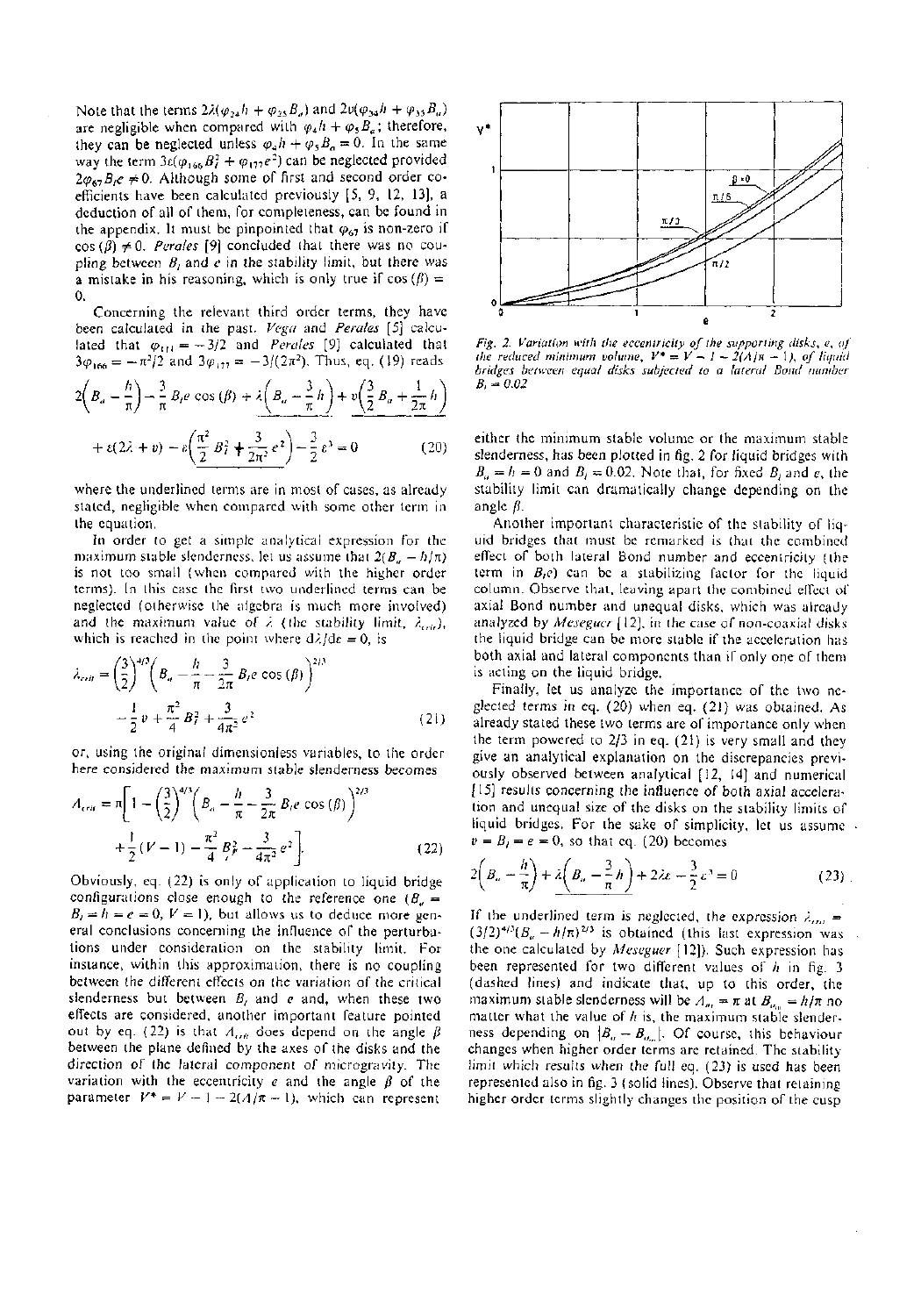Note that the terms  $2\lambda(\varphi_{24}h + \varphi_{25}B_a)$  and  $2v(\varphi_{34}h + \varphi_{35}B_a)$ are negligible when compared with  $\varphi_4 h + \varphi_5 B_a$ ; therefore, they can be neglected unless  $\varphi_4 h + \varphi_5 B_a = 0$ . In the same way the term  $3\varepsilon(\varphi_{166}B_1^2 + \varphi_{177}e^2)$  can be neglected provided  $2\varphi_{67}B_1e \neq 0$ . Although some of first and second order coefficients have been calculated previously [5, 9, 12, 13], a deduction of all of them, for completeness, can be found in the appendix. It must be pinpointed that  $\varphi_{67}$  is non-zero if  $cos (\beta) \neq 0$ . *Perales* [9] concluded that there was no coupling between *B,* and *e* in the stability limit, but there was a mistake in his reasoning, which is only true if  $cos (\beta) =$ 0.

Concerning the relevant third order terms, they have been calculated in the past. *Vega* and *Perales* [5] calculated that  $\varphi_{11} = -3/2$  and *Perales* [9] calculated that  $3\varphi_{166} = -\pi^2/2$  and  $3\varphi_{177} = -3/(2\pi^2)$ . Thus, eq. (19) reads

$$
2\left(B_{a} - \frac{h}{\pi}\right) - \frac{3}{\pi}B_{i}e\cos\left(\beta\right) + \lambda\left(B_{a} - \frac{3}{\pi}h\right) + \nu\left(\frac{3}{2}B_{a} + \frac{1}{2\pi}h\right) + \varepsilon(2\lambda + v) - \varepsilon\left(\frac{\pi^{2}}{2}B_{i}^{2} + \frac{3}{2\pi^{2}}e^{2}\right) - \frac{3}{2}\varepsilon^{3} = 0
$$
 (20)

where the underlined terms are in most of cases, as already stated, negligible when compared with some other term in the equation.

In order to get a simple analytical expression for the maximum stable slenderness, let us assume that  $2(B_n - h/\pi)$ is not too small (when compared with the higher order terms). In this case the first two underlined terms can be neglected (otherwise the algebra is much more involved) and the maximum value of  $\lambda$  (the stability limit,  $\lambda_{crit}$ ), which is reached in the point where  $d\lambda/d\varepsilon = 0$ , is

$$
\lambda_{crit} = \left(\frac{3}{2}\right)^{4/3} \left(B_u - \frac{h}{\pi} - \frac{3}{2\pi} B_t e \cos(\beta)\right)^{2/3} \n- \frac{1}{2} v + \frac{\pi^2}{4} B_t^2 + \frac{3}{4\pi^2} e^2
$$
\n(21)

or, using the original dimensionless variables, to the order here considered the maximum stable slenderness becomes

$$
A_{crit} = \pi \left[ 1 - \left(\frac{3}{2}\right)^{4/3} \left(B_a - \frac{h}{\pi} - \frac{3}{2\pi} B_t e \cos\left(\beta\right)\right)^{2/3} + \frac{1}{2} \left(V - 1\right) - \frac{\pi^2}{4} B_f^2 - \frac{3}{4\pi^2} e^2 \right].
$$
 (22)

Obviously, eq. (22) is only of application to liquid bridge configurations close enough to the reference one  $(B_n =$  $B_t = h = e = 0$ ,  $V = 1$ ), but allows us to deduce more general conclusions concerning the influence of the perturbations under consideration on the stability limit. For instance, within this approximation, there is no coupling between the different effects on the variation of the critical slenderness but between *B,* and e and, when these two effects are considered, another important feature pointed out by eq. (22) is that  $A_{\alpha\dot{\theta}}$  does depend on the angle  $\beta$ between the plane defined by the axes of the disks and the direction of the lateral component of microgravity. The variation with the eccentricity  $e$  and the angle  $\beta$  of the parameter  $V^* = V - 1 - 2(A/\pi - 1)$ , which can represent



*Fig. 2. Variation with the eccentricity of the supporting disks, e, of the reduced minimum volume,*  $V^* = V - 1 - 2(A/\pi - 1)$ , of liquid *bridges between equal disks subjected to a lateral Bond number*   $B_i = 0.02$ 

either the minimum stable volume or the maximum stable slenderness, has been plotted in fig. 2 for liquid bridges with  $B_a = h = 0$  and  $B_f = 0.02$ . Note that, for fixed  $B_f$  and *e*, the stability limit can dramatically change depending on the angle  $\hat{\beta}$ .

Another important characteristic of the stability of liquid bridges that must be remarked is that the combined effect of both lateral Bond number and eccentricity (the term in *B,e)* can be a stabilizing factor for the liquid column. Observe that, leaving apart the combined eileci of axial Bond number and unequal disks, which was already analyzed by *Meseguer* [12], in the case of non-coaxial disks the liquid bridge can be more stable if the acceleration has both axial and lateral components than if only one of them is acting on the liquid bridge.

Finally, let us analyze the importance of the two neglected terms in eq. (20) when eq. (21) was obtained. As already stated these two terms are of importance only when the term powered to 2/3 in eq. (21) is very small and they give an analytical explanation on the discrepancies previously observed between analytical [12, 14] and numerical [15] results concerning the influence of both axial acceleration and unequal size of the disks on the stability limits of liquid bridges. For the sake of simplicity, let us assume .  $v = B_i = e = 0$ , so that eq. (20) becomes

$$
2\left(B_u - \frac{h}{\pi}\right) + \lambda \left(B_u - \frac{3}{\pi}h\right) + 2\lambda\varepsilon - \frac{3}{2}\varepsilon^3 = 0\tag{23}
$$

If the underlined term is neglected, the expression  $\lambda_{\alpha\mu}$  =  $(3/2)^{4/3}(B_n - h/\pi)^{2/3}$  is obtained (this last expression was the one calculated by *Meseguer* [12]). Such expression has been represented for two different values of *h* in fig. 3 (dashed lines) and indicate that, up to this order, the maximum stable slenderness will be  $A_m = \pi$  at  $B_{a_m} = h/\pi$  no matter what the value of h is, the maximum stable slenderness depending on  $|B_n - B_{n_m}|$ . Of course, this behaviour changes when higher order terms are retained. The stability limit which results when the full eq. (23) is used has been represented also in fig. 3 (solid lines). Observe that retaining higher order terms slightly changes the position of the cusp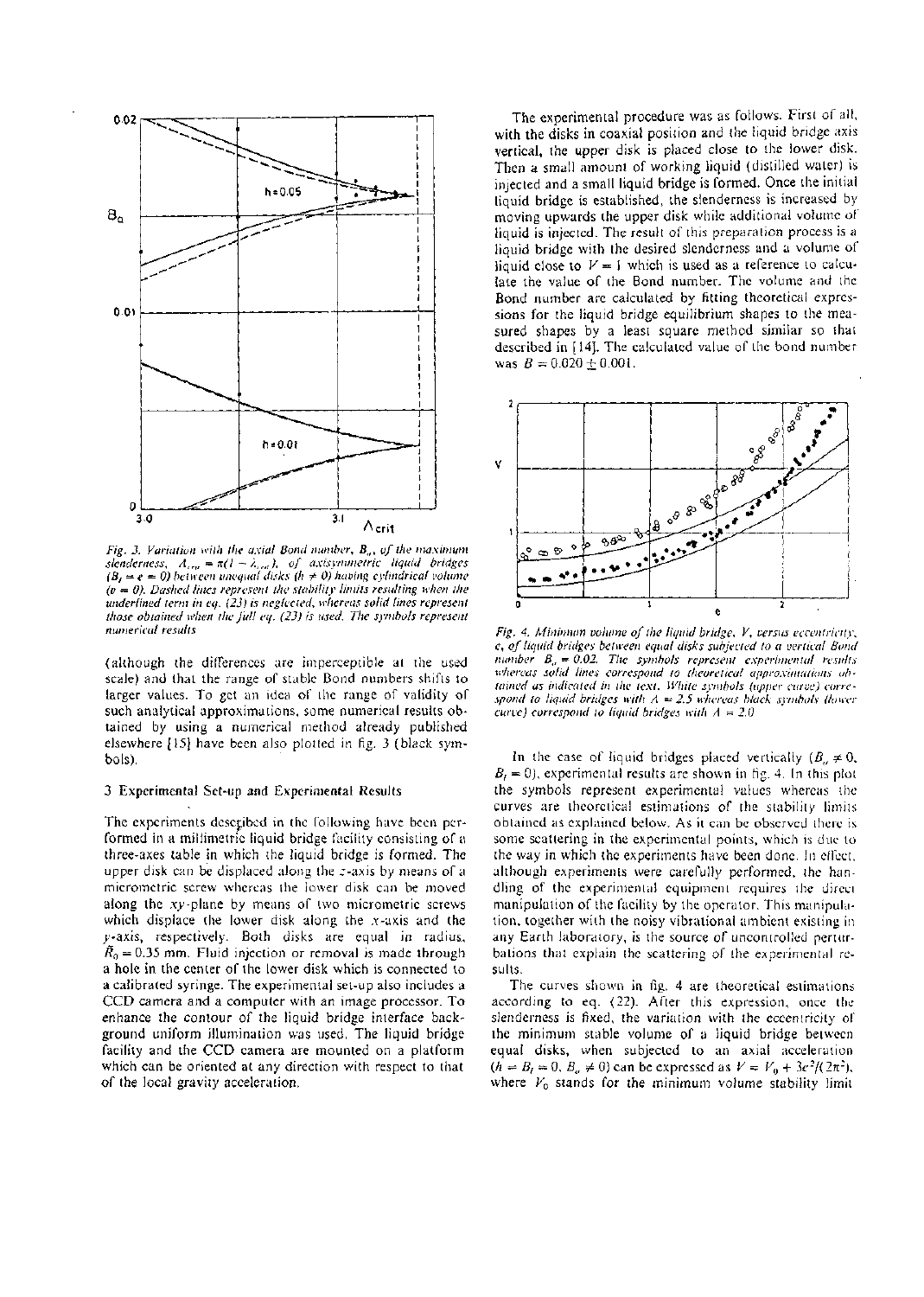

*Fig. 3. Variation with lite axial Bond number, Ba, of lite maximum*   $s$ *lenderness,*  $A_{cm} = \pi (l - \lambda_{cm})$ , of axisymmetric liquid bridges  $(B<sub>t</sub> = e = 0)$  between unequal disks (h  $\neq$  0) having cylindrical volume *(v — 0). Dashed lines represent the stability limits resulting when the underlined term in eq. (23) is neglected, whereas solid lines represent those obtained when the full eq. (23) is used. The symbols represent numerical results* 

(although the differences are imperceptible at the used scale) and that the range of stable Bond numbers shifts to larger values. To get an idea of the range of validity of such analytical approximations, some numerical results obtained by using a numerical method already published elsewhere [15] have been also plotted in fig. 3 (black symbols).

### 3 Experimental Set-up and Experimental Results

The experiments described in the following have been performed in a millimetric liquid bridge facility consisting of a three-axes table in which the liquid bridge is formed. The upper disk can be displaced along the r-axis by means of a micrometric screw whereas the lower disk can be moved along the xy-plane by means of two micrometric screws which displace the lower disk along the  $x$ -axis and the y-axis, respectively. Both disks are equal in radius,  $\tilde{R}_0 = 0.35$  mm. Fluid injection or removal is made through a hole in the center of the lower disk which is connected to a calibrated syringe. The experimental set-up also includes a CCD camera and a computer with an image processor. To enhance the contour of the liquid bridge interface background uniform illumination was used. The liquid bridge facility and the CCD camera are mounted on a platform which can be oriented at any direction with respect to that of the local gravity acceleration.

The experimental procedure was as follows. First of all, with the disks in coaxial position and the liquid bridge axis vertical, the upper disk is placed close to the lower disk. Then a small amount of working liquid (distilled water) is injected and a small liquid bridge is formed. Once the initial liquid bridge is established, the slenderness is increased by moving upwards the upper disk while additional volume of liquid is injected. The result of this preparation process is a liquid bridge with the desired slenderness and a volume of liquid close to  $V = 1$  which is used as a reference to calculate the value of the Bond number. The volume and the Bond number are calculated by fitting theoretical expressions for the liquid bridge equilibrium shapes to the measured shapes by a least square method similar so that described in [14]. The calculated value of the bond number was  $B = 0.020 \pm 0.001$ .



*Fig. 4. Minimum volume of the liquid bridge, V, versus eccentricity, e, of liquid bridges between equal disks subjected to a vertical Bond number*  $B_a = 0.02$ . The symbols represent experimental results *whereas solid lines correspond to theoretical approximations obtained as indicated in the text. While symbols (upper curve) correspond to liquid bridges with A* = *2.5 whereas black symbols (lower curve) correspond to liquid bridges with A = 2.0* 

In the case of liquid bridges placed vertically ( $B_n \neq 0$ ,  $B<sub>i</sub> = 0$ , experimental results are shown in fig. 4. In this plot the symbols represent experimental values whereas the curves are theoretical estimations of the stability limits obtained as explained below. As it can be observed there is some scattering in the experimental points, which is due to the way in which the experiments have been done. In cilcct. although experiments were carefully performed, the handling of the experimental equipment requires the direct manipulation of the facility by the operator. This manipulation, together with the noisy vibrational ambient existing in any Earth laboratory, is the source of uncontrolled perturbations that explain the scattering of the experimental results.

The curves shown in fig. 4 are theoretical estimations according to eq. (22). After this expression, once the slenderness is fixed, the variation with the eccentricity of the minimum stable volume of a liquid bridge between equal disks, when subjected to an axial acceleration  $(h = B<sub>i</sub> = 0, B<sub>a</sub> \neq 0)$  can be expressed as  $V = V_0 + 3e^2/(2\pi^2)$ , where  $V_0$  stands for the minimum volume stability limit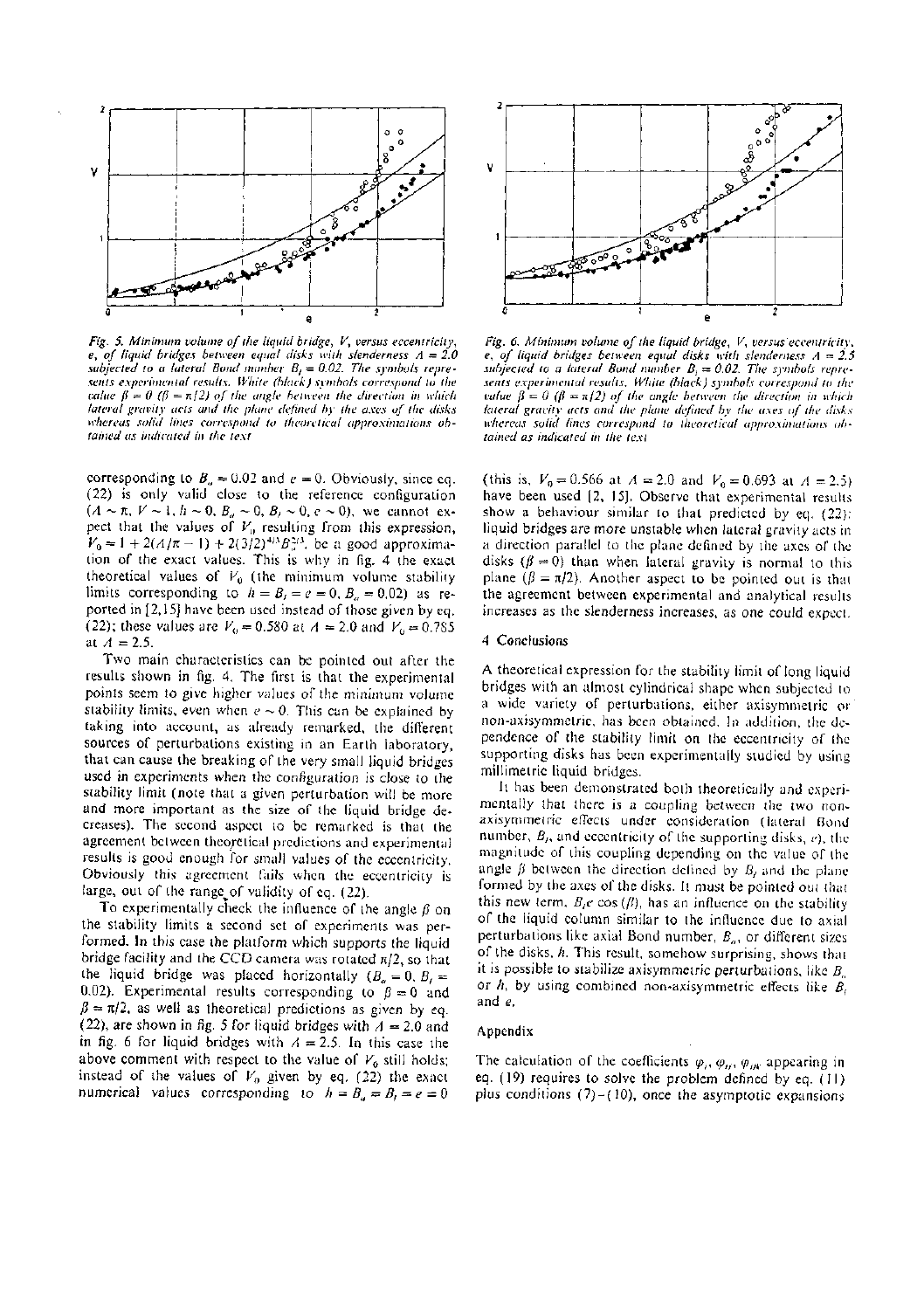

*Fig. 5. Minimum volume of the liquid bridge, V, versus eccentricity, e, of liquid bridges between equal disks with slenderness A = 2.0 subjected to a lateral Bond number B, — 0.02. The symbols represents experimental results. White (black) symbols correspond to the value*  $\beta = 0$  ( $\beta = \pi/2$ ) of the angle between the direction in which *lateral gravity acts and the plane defined by the axes of the disks whereas .solid lines correspond to theoretical approximations obtained as indicated in the text* 

corresponding to  $B_n = 0.02$  and  $e = 0$ . Obviously, since eq. (22) is only valid close to the reference configuration  $(A \sim \pi, V \sim 1, h \sim 0, B_a \sim 0, B_f \sim 0, e \sim 0)$ , we cannot expect that the values of  $V_0$  resulting from this expression,  $V_0 = 1 + 2(A/\pi - 1) + 2(3/2)^{4/3} B_{\pi}^{2/3}$ , be a good approximation of the exact values. This is why in fig. 4 the exact theoretical values of  $V_0$  (the minimum volume stability limits corresponding to  $h = B_t = e = 0$ ,  $B_u = 0.02$ ) as reported in [2,15] have been used instead of those given by eq. (22); these values are  $V_0 = 0.580$  at  $A = 2.0$  and  $V_0 = 0.785$ at  $A = 2.5$ .

Two main characteristics can be pointed out after the results shown in fig. 4. The first is that the experimental points seem to give higher values of the minimum volume stability limits, even when  $e \sim 0$ . This can be explained by taking into account, as already remarked, the different sources of perturbations existing in an Earth laboratory, that can cause the breaking of the very small liquid bridges used in experiments when the configuration is close to the stability limit (note that a given perturbation will be more and more important as the size of the liquid bridge decreases). The second aspect to be remarked is that the agreement between theoretical predictions and experimental results is good enough for small values of the eccentricity. Obviously this agreement fails when the eccentricity is large, out of the range of validity of eq.  $(22)$ .

To experimentally check the influence of the angle  $\beta$  on the stability limits a second set of experiments was performed. In this case the platform which supports the liquid bridge facility and the CCD camera was rotated  $\pi/2$ , so that the liquid bridge was placed horizontally  $(B_n = 0, B)$ 0.02). Experimental results corresponding to  $\beta = 0$  and  $\beta = \pi/2$ , as well as theoretical predictions as given by eq. (22), are shown in fig. 5 for liquid bridges with  $A = 2.0$  and in fig. 6 for liquid bridges with  $A = 2.5$ . In this case the above comment with respect to the value of *VQ* still holds; instead of the values of  $V_0$  given by eq. (22) the exact numerical values corresponding to  $h = B_a = B_f = e = 0$ 



*Fig. 6. Minimum volume of the liquid bridge, V, versus eccentricity, e, of liquid bridges between equal disks with slenderness A — 2.5 subjected to a lateral Bond number*  $B_i = 0.02$ *. The symbols represents experimental results. White (black) symbols correspond to the value*  $\beta = 0$  ( $\beta = \pi/2$ ) of the angle between the direction in which *lateral gravity acts and the plane defined by the axes of the disks whereas solid lines correspond to theoretical approximations obtained as indicated in the text* 

(this is,  $V_0 = 0.566$  at  $A = 2.0$  and  $V_0 = 0.693$  at  $A = 2.5$ ) have been used [2, 15]. Observe that experimental results show a behaviour similar to that predicted by eq. (22): liquid bridges are more unstable when lateral gravity acts in a direction parallel to the plane defined by the axes of the disks ( $\beta = 0$ ) than when lateral gravity is normal to this plane ( $\beta = \pi/2$ ). Another aspect to be pointed out is that the agreement between experimental and analytical results increases as the slenderness increases, as one could expect.

## 4 Conclusions

A theoretical expression for the stability limit of long liquid bridges with an almost cylindrical shape when subjected to a wide variety of perturbations, either axisymmetric or non-axisymmctric, has been obtained. In addition, the dependence of the stability limit on the eccentricity of the supporting disks has been experimentally studied by using millimetric liquid bridges.

It has been demonstrated both theoretically and experimentally that there is a coupling between the two nonaxisymmetric effects under consideration (lateral Bond number, *B,,* and eccentricity of the supporting disks, *e),* the magnitude of this coupling depending on the value of the angle  $\beta$  between the direction defined by  $B_i$  and the plane formed by the axes of the disks. It must be pointed out that this new term,  $B_f e \cos(\beta)$ , has an influence on the stability of the liquid column similar to the influence due to axial perturbations like axial Bond number,  $B_{\alpha}$ , or different sizes of the disks, *h.* This result, somehow surprising, shows that it is possible to stabilize axisymmetric perturbations, like  $B_n$ or /i, by using combined non-axisymmetric effects like *B,*  and *e.* 

## Appendix

The calculation of the coefficients  $\varphi_i$ ,  $\varphi_{ij}$ ,  $\varphi_{ijk}$  appearing in eq. (19) requires to solve the problem defined by eq. (11) plus conditions  $(7)-(10)$ , once the asymptotic expansions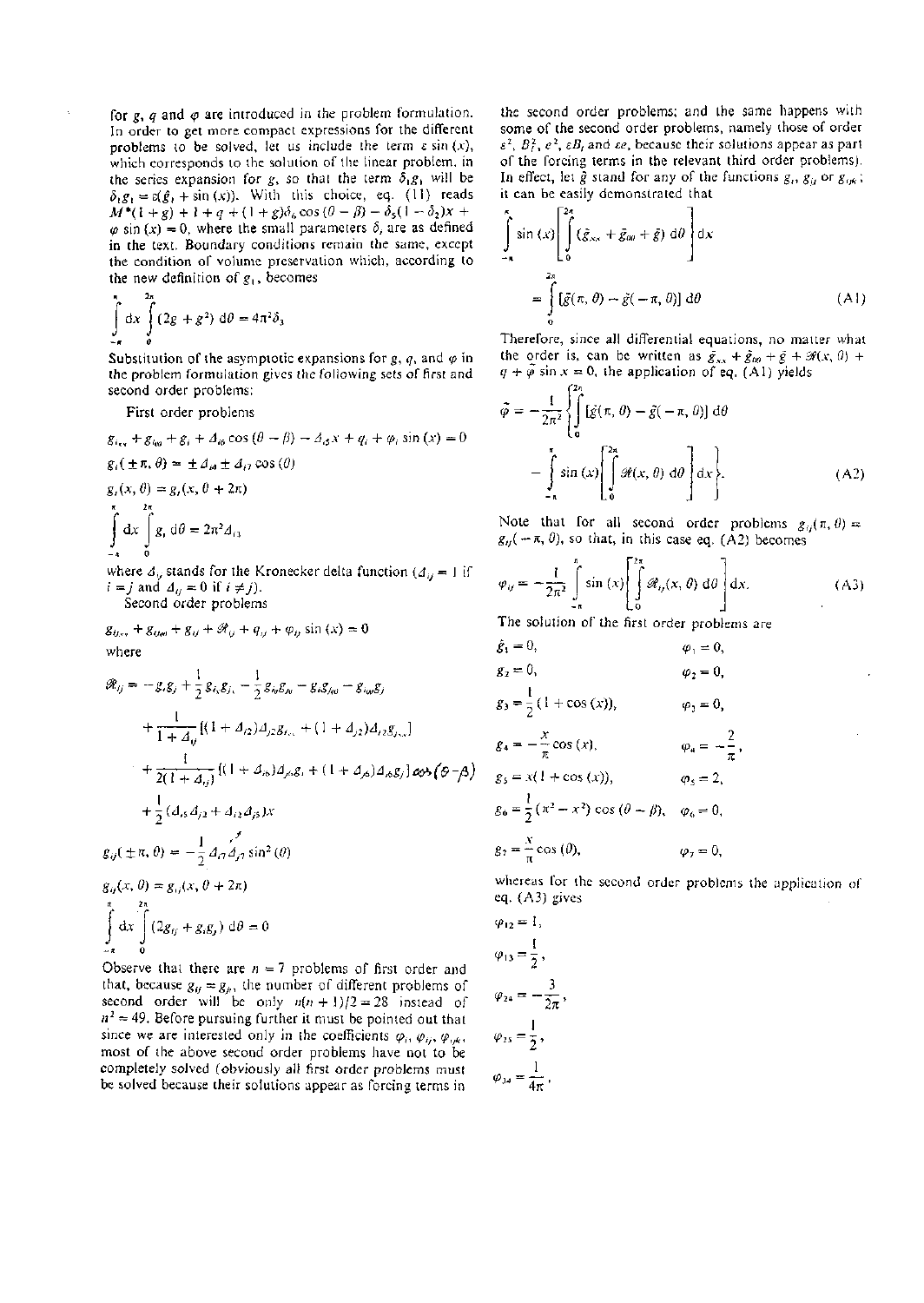for  $g$ ,  $q$  and  $\varphi$  are introduced in the problem formulation. In order to get more compact expressions for the different problems to be solved, let us include the term  $\varepsilon \sin(x)$ , which corresponds to the solution of the linear problem, in the series expansion for g, so that the term  $\delta_1 g_1$  will be  $\delta_1 g_1 = \varepsilon(\hat{g}_1 + \sin(x))$ . With this choice, eq. (11) reads  $M^*(1 + g) + 1 + q + (1 + g)\delta_6 \cos(\theta - \beta) - \delta_5(1 - \delta_2)x +$  $\varphi$  sin (x) = 0, where the small parameters  $\delta_i$  are as defined in the text. Boundary conditions remain the same, except the condition of volume preservation which, according to the new definition of  $g_1$ , becomes

$$
\int_{-\pi}^{\pi} dx \int_{0}^{\pi} (2g + g^2) d\theta = 4\pi^2 \delta_3
$$

Substitution of the asymptotic expansions for  $g$ ,  $q$ , and  $\varphi$  in the problem formulation gives the following sets of first and second order problems:

First order problems

$$
g_{i_{xx}} + g_{i_{yy}} + g_i + 2_{i\delta} \cos(\theta - \beta) - 2_{i\delta}x + q_i + \varphi_i \sin(x) = 0
$$
  
\n
$$
g_i(\pm \pi, \theta) = \pm 2_{i\theta} \pm 2_{i\tau} \cos(\theta)
$$
  
\n
$$
g_i(x, \theta) = g_i(x, \theta + 2\pi)
$$
  
\n
$$
\int_{-\pi}^{\pi} dx \int_{-\pi}^{2\pi} g_i d\theta = 2\pi^2 2_{i\theta}
$$

where  $A_{ij}$  stands for the Kronecker delta function  $(A_{ij} = 1)$  if  $i = j$  and  $\Delta_{ij} = 0$  if  $i \neq j$ ).

Second order problems

$$
g_{ij,xy} + g_{ij,xy} + g_{ij} + \mathcal{R}_{ij} + q_{ij} + \varphi_{ij} \sin(x) = 0
$$
  
where

$$
\mathcal{R}_{ij} = -g_i g_j + \frac{1}{2} g_{i_x} g_{j_x} - \frac{1}{2} g_{i_y} g_{j_y} - g_i g_{j_{xy}} - g_{i_{xy}} g_j
$$
  
+ 
$$
\frac{1}{1 + \Delta_{ij}} [(1 + \Delta_{i2}) \Delta_{j2} g_{i_{xy}} + (1 + \Delta_{j2}) \Delta_{i2} g_{j_{yx}}]
$$
  
+ 
$$
\frac{1}{2(1 + \Delta_{ij})} [(1 + \Delta_{i6}) \Delta_{j6} g_i + (1 + \Delta_{j6}) \Delta_{i6} g_j] \cos(\Theta - \beta)
$$
  
+ 
$$
\frac{1}{2} (\Delta_{i5} \Delta_{j2} + \Delta_{i2} \Delta_{j5}) x
$$
  

$$
g_{ij}(\pm \pi, \theta) = -\frac{1}{2} \Delta_{i7} \Delta_{j7} \sin^2(\theta)
$$
  

$$
g_{ij}(x, \theta) = g_{ij}(x, \theta + 2\pi)
$$
  

$$
\int_{-\pi}^{\pi} \frac{2\pi}{\theta} dx \int_{0}^{2\pi} (2g_{ij} + g_i g_j) d\theta = 0
$$

Observe that there are  $n = 7$  problems of first order and that, because  $g_{ij} = g_{ji}$ , the number of different problems of second order will be only  $n(n + 1)/2 = 28$  instead of  $n^2 = 49$ . Before pursuing further it must be pointed out that since we are interested only in the coefficients  $\varphi_i$ ,  $\varphi_{ij}$ ,  $\varphi_{ijk}$ , most of the above second order problems have not to be completely solved (obviously all first order problems must be solved because their solutions appear as forcing terms in

the second order problems; and the same happens with some of the second order problems, namely those of order  $\epsilon^2$ ,  $B_i^2$ ,  $e^2$ ,  $\epsilon B_i$  and  $\epsilon e$ , because their solutions appear as part of the forcing terms in the relevant third order problems). In effect, let  $\tilde{g}$  stand for any of the functions  $g_i$ ,  $g_{ij}$  or  $g_{ijk}$ ; it can be easily demonstrated that

$$
\int_{-\pi}^{\pi} \sin(x) \left[ \int_{0}^{2\pi} (\tilde{g}_{xx} + \bar{g}_{0\theta} + \bar{g}) d\theta \right] dx
$$

$$
= \int_{0}^{2\pi} [\tilde{g}(\pi, \theta) - \tilde{g}(-\pi, \theta)] d\theta \qquad (A1)
$$

Therefore, since all differential equations, no matter what the order is, can be written as  $\bar{g}_{xx} + \bar{g}_{00} + \bar{g} + \mathcal{H}(x, 0)$  +  $q + \bar{\varphi}$  sin  $x = 0$ , the application of eq. (Al) yields

$$
\tilde{\varphi} = -\frac{1}{2\pi^2} \left\{ \int_0^{2\pi} [\tilde{g}(\pi, \theta) - \tilde{g}(-\pi, \theta)] d\theta \right\}
$$

$$
- \int_{-\pi}^{\pi} \sin(x) \left[ \int_0^{2\pi} \mathcal{H}(x, \theta) d\theta \right] dx \right\}. \tag{A2}
$$

Note that for all second order problems  $g_{ij}(\pi, \theta) =$  $g_{ij}(-\pi, \theta)$ , so that, in this case eq. (A2) becomes

$$
\varphi_{ij} = -\frac{1}{2\pi^2} \int_{-\pi}^{\pi} \sin(x) \left[ \int_{0}^{2\pi} \mathcal{R}_{ij}(x, \theta) d\theta \right] dx.
$$
 (A3)

The solution of the first order problems are

$$
\hat{g}_1 = 0, \qquad \varphi_1 = 0, \n g_2 = 0, \qquad \varphi_2 = 0, \n g_3 = \frac{1}{2} (1 + \cos(x)), \qquad \varphi_3 = 0, \n g_4 = -\frac{x}{\pi} \cos(x), \qquad \varphi_4 = -\frac{2}{\pi}, \n g_5 = x (1 + \cos(x)), \qquad \varphi_5 = 2, \n g_6 = \frac{1}{2} (\pi^2 - x^2) \cos (\theta - \beta), \qquad \varphi_6 = 0, \n g_7 = \frac{x}{\pi} \cos (\theta), \qquad \varphi_7 = 0,
$$

whereas for the second order problems the application of eq. (A3) gives

$$
\varphi_{12} = 1,
$$
  
\n
$$
\varphi_{13} = \frac{1}{2},
$$
  
\n
$$
\varphi_{24} = -\frac{3}{2\pi},
$$
  
\n
$$
\varphi_{25} = \frac{1}{2},
$$
  
\n
$$
\varphi_{34} = \frac{1}{4\pi}.
$$